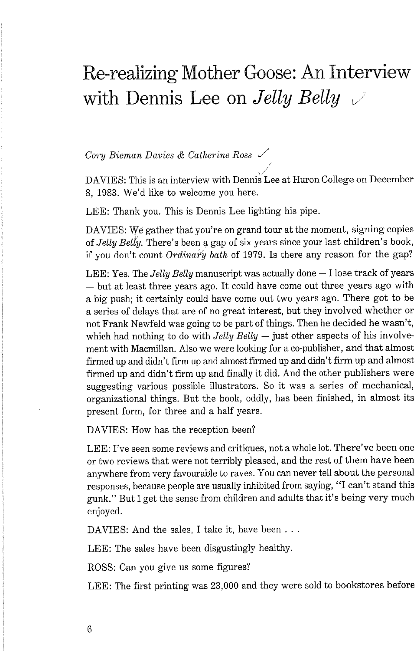## Re-realizing Mother Goose: An Interview with Dennis Lee on *Jelly Belly*  $\vee$

*Cory Biernan Davies* & *Catherine Ross* J'

DAVIES: This is an interview with Dennis Lee at Huron College on December 8, 1983. We'd like to welcome you here.

LEE: Thank you. This is Dennis Lee lighting his pipe.

DAVIES: We gather that you're on grand tour at the moment, signing copies of *Jelly ~ell'y.* There's been a gap of six years since your last children's book, if you don't count *Ordinahj bath* of 1979. Is there any reason for the gap?

LEE: Yes. The *Jelly Belly* manuscript was actually done - I lose track of years - but at least three years ago. It could have come out three years ago with a big push; it certainly could have come out two years ago. There got to be a series of delays that are of no great interest, but they involved whether or not Frank Newfeld was going to be part of things. Then he decided he wasn't, which had nothing to do with  $Jelly$  Belly  $-$  just other aspects of his involvement with Macmillan. Also we were looking for a co-publisher, and that almost firmed up and didn't firm up and almost firmed up and didn't firm up and almost firmed up and didn't firm up and finally it did. And the other publishers were suggesting various possible illustrators. So it was a series of mechanical, organizational things. But the book, oddly, has been finished, in almost its present form, for three and a half years.

DAVIES: How has the reception been?

LEE: I've seen some reviews and critiques, not a whole lot. There've been one or two reviews that were not terribly pleased, and the rest of them have been anywhere from very favourable to raves. You can never tell about the personal responses, because people are usually inhibited from saying, "I can't stand this gunk." But I get the sense from children and adults that it's being very much enjoyed.

DAVIES: And the sales, I take it, have been . . .

LEE: The sales have been disgustingly healthy.

ROSS: Can you give us some figures?

LEE: The first printing was 23,000 and they were sold to bookstores before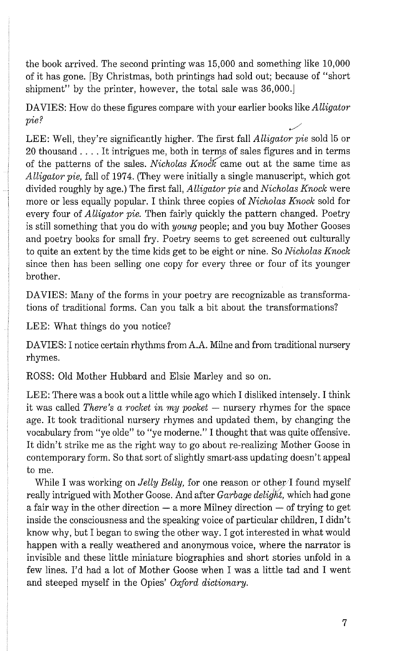the book arrived. The second printing was 15,000 and something like 10,000 of it has gone. [By Christmas, both printings had sold out; because of "short shipment" by the printer, however, the total sale was  $36,000$ .

DAVIES: How do these figures compare with your earlier books like *Alligator pie?* /'

LEE: Well, they're significantly higher. The first fall *Alligator pie* sold 15 or 20 thousand . . . . It intrigues me, both in terms of sales figures and in terms of the patterns of the sales. *Nicholas Knock* came out at the same time as *Alligator pie,* fall of *1974.* (They were initially a single manuscript, which got divided roughly by age.) The first fall, *Alligator pie* and *Nicholas Knock* were more or less equally popular. I think three copies of *Nicholas Knock* sold for every four of *Alligator pie.* Then fairly quickly the pattern changed. Poetry is still something that you do with *young* people; and you buy Mother Gooses and poetry books for small fry. Poetry seems to get screened out culturally to quite an extent by the time kids get to be eight or nine. So *Nicholas Knock*  since then has been selling one copy for every three or four of its younger brother.

DAVIES: Many of the forms in your poetry are recognizable as transformations of traditional forms. Can you talk a bit about the transformations?

LEE: What things do you notice?

DAVIES: I notice certain rhythms from A.A. Milne and from traditional nursery rhymes.

ROSS: Old Mother Hubbard and Elsie Marley and so on.

LEE: There was a book out a little while ago which I disliked intensely. I think it was called *There's a rocket in my pocket* - nursery rhymes for the space age. It took traditional nursery rhymes and updated them, by changing the vocabulary from "ye olde" to "ye moderne." I thought that was quite offensive. It didn't strike me as the right way to go about re-realizing Mother Goose in contemporary form. So that sort of slightly smart-ass updating doesn't appeal to me.

While I was working on *Jelly Belly*, for one reason or other I found myself really intrigued with Mother Goose. And after *Garbage delight,* which had gone a fair way in the other direction  $-$  a more Milney direction  $-$  of trying to get inside the consciousness and the speaking voice of particular children, I didn't know why, but I began to swing the other way. I got interested in what would happen with a really weathered and anonymous voice, where the narrator is invisible and these little miniature biographies and short stories unfold in a few lines. I'd had a lot of Mother Goose when I was a little tad and I went and steeped myself in the Opies' *Oxford dictionary.*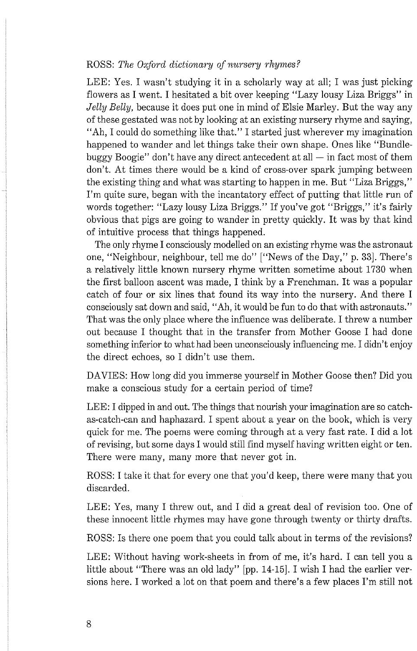## ROSS: *The Oxford dictionary of nursery rhymes?*

LEE: Yes. I wasn't studying it in a scholarly way at all; I was just picking flowers as I went. I hesitated a bit over keeping "Lazy lousy Liza Briggs" in *Jelly Belly,* because it does put one in mind of Elsie Marley. But the way any of these gestated was not by looking at an existing nursery rhyme and saying, "Ah, I could do something like that." I started just wherever my imagination happened to wander and let things take their own shape. Ones like "Bundlebuggy Boogie" don't have any direct antecedent at all  $-$  in fact most of them don't. At times there would be a kind of cross-over spark jumping between the existing thing and what was starting to happen in me. But "Liza Briggs," I'm quite sure, began with the incantatory effect of putting that little run of words together: "Lazy lousy Liza Briggs." If you've got "Briggs," it's fairly obvious that pigs are going to wander in pretty quickly. It was by that kind of intuitive process that things happened.

The only rhyme I consciously modelled on an existing rhyme was the astronaut one, "Neighbow, neighbow, tell me do" ["News of the Day," p. 331. There's a relatively little known nursery rhyme written sometime about 1730 when the first balloon ascent was made, I think by a Frenchman. It was a popular catch of four or six lines that found its way into the nursery. And there I consciously sat down and said, "Ah, it would be fun to do that with astronauts." That was the only place where the influence was deliberate. I threw a number out because I thought that in the transfer from Mother Goose I had done something inferior to what had been unconsciously influencing me. I didn't enjoy the direct echoes, so I didn't use them.

DAVIES: How long did you immerse yourself in Mother Goose then? Did you make a conscious study for a certain period of time?

LEE: I dipped in and out. The things that nourish your imagination are so catchas-catch-can and haphazard. I spent about a year on the book, which is very quick for me. The poems were coming through at a very fast rate. I did a lot of revising, but some days I would still find myself having written eight or ten. There were many, many more that never got in.

ROSS: I take it that for every one that you'd keep, there were many that you discarded.

LEE: Yes, many I threw out, and I did a great deal of revision too. One of these innocent little rhymes may have gone through twenty or thirty drafts.

ROSS: Is there one poem that you could talk about in terms of the revisions?

LEE: Without having work-sheets in from of me, it's hard. I can tell you a little about "There was an old lady" [pp. 14-15]. I wish I had the earlier versions here. I worked a lot on that poem and there's a few places I'm still not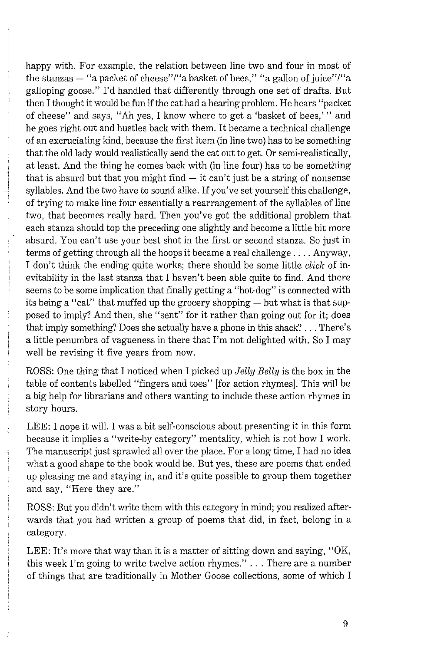happy with. For example, the relation between line two and four in most of the stanzas  $-$  "a packet of cheese"/"a basket of bees," "a gallon of juice"/"a galloping goose." I'd handled that differently through one set of drafts. But then I thought it would be fun if the cat had a hearing problem. He hears "packet of cheese" and says, "Ah yes, I know where to get a 'basket of bees,' " and he goes right out and hustles back with them. It became a technical challenge of an excruciating kind, because the first item (in line two) has to be something that the old lady would realistically send the cat out to get. Or semi-realistically, at least. And the thing he comes back with (in line four) has to be something that is absurd but that you might find  $-$  it can't just be a string of nonsense syllables. And the two have to sound alike. If you've set yourself this challenge, of trying to make line four essentially a rearrangement of the syllables of line two, that becomes really hard. Then you've got the additional problem that each stanza should top the preceding one slightly and become a little bit more absurd. You can't use your best shot in the first or second stanza. So just in terms of getting through all the hoops it became a real challenge . . . . Anyway, I don't think the ending quite works; there should be some little *click* of inevitability in the last stanza that I haven't been able quite to find. And there seems to be some implication that finally getting a "hot-dog" is connected with its being a "cat" that muffed up the grocery shopping — but what is that supposed to imply? And then, she "sent" for it rather than going out for it; does that imply something? Does she actually have a phone in this shack? . . . There's a little penumbra of vagueness in there that I'm not delighted with. So I may well be revising it five years from now.

ROSS: One thing that I noticed when I picked up *Jelly Belly* is the box in the table of contents labelled "fingers and toes" [for action rhymes]. This will be a big help for librarians and others wanting to include these action rhymes in story hours.

LEE: I hope it will. I was a bit self-conscious about presenting it in this form because it implies a "write-by category" mentality, which is not how I work. The manuscript just sprawled all over the place. For a long time, I had no idea what a good shape to the book would be. But yes, these are poems that ended up pleasing me and staying in, and it's quite possible to group them together and say, "Here they are."

ROSS: But you didn't write them with this category in mind; you realized afterwards that you had written a group of poems that did, in fact, belong in a category.

LEE: It's more that way than it is a matter of sitting down and saying, "OK, this week I'm going to write twelve action rhymes." . . . There are a number of things that are traditionally in Mother Goose collections, some of which I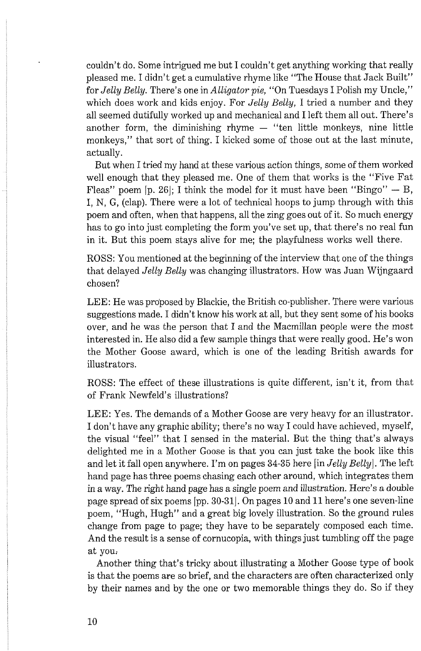couldn't do. Some intrigued me but I couldn't get anything working that really pleased me. I didn't get a cumulative rhyme like "The House that Jack Built" for *Jelly Belly.* There's one in *Alligator pie,* "On Tuesdays *I* Polish my Uncle," which does work and kids enjoy. For *Jelly Belly,* I tried a number and they all seemed dutifully worked up and mechanical and I left them all out. There's another form, the diminishing rhyme  $-$  "ten little monkeys, nine little monkeys," that sort of thing. I kicked some of those out at the last minute, actually.

But when I tried my hand at these various action things, some of them worked well enough that they pleased me. One of them that works is the "Five Fat Fleas" poem [p. 26]; I think the model for it must have been "Bingo"  $-$  B, I, N, G, (clap). There were a lot of technical hoops to jump through with this poem and often, when that happens, all the zing goes out of it. So much energy has to go into just completing the form you've set up, that there's no real fun in it. But this poem stays alive for me; the playfulness works well there.

ROSS: You mentioned at the beginning of the interview that one of the things that delayed *Jelly Belly* was changing illustrators. How was Juan Wijngaard chosen?

LEE: He was proposed by Blackie, the British co-publisher. There were various suggestions made. I didn't know his work at all, but they sent some of his books over, and he was the person that I and the Macmillan people were the most interested in. He also did a few sample things that were really good. He's won the Mother Goose award, which is one of the leading British awards for illustrators.

ROSS: The effect of these illustrations is quite different, isn't it, from that of Frank Newfeld's illustrations?

LEE: Yes. The demands of a Mother Goose are very heavy for an illustrator. I don't have any graphic ability; there's no way I could have achieved, myself, the visual "feel" that I sensed in the material. But the thing that's always delighted me in a Mother Goose is that you can just take the book like this and let it fall open anywhere. I'm on pages **34-35** here [in *Jelly Belly].* The left hand page has three poems chasing each other around, which integrates them in a way. The right hand page has a single poem and illustration. Here's a double page spread of six poems [pp. **30-311.** On pages **10** and **11** here's one seven-line poem, "Hugh, Hugh" and a great big lovely illustration. So the ground rules change from page to page; they have to be separately composed each time. And the result is a sense of cornucopia, with things just tumbling off the page at you:

Another thing that's tricky about illustrating a Mother Goose type of book is that the poems are so brief, and the characters are often characterized only by their names and by the one or two memorable things they do. So if they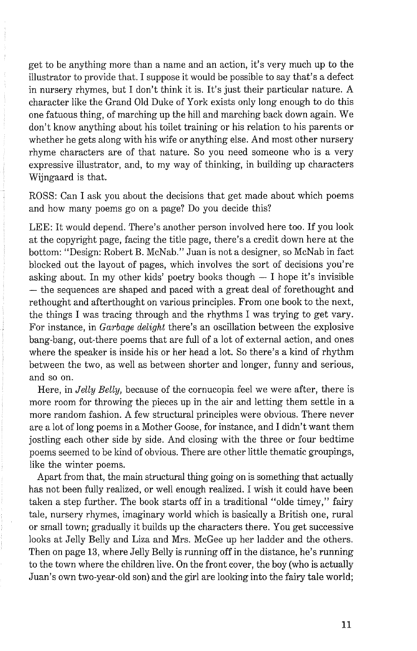get to be anything more than a name and an action, it's very much up to the illustrator to provide that. I suppose it would be possible to say that's a defect in nursery rhymes, but I don't think it is. It's just their particular nature. A character like the Grand Old Duke of York exists only long enough to do this one fatuous thing, of marching up the hill and marching back down again. We don't know anything about his toilet training or his relation to his parents or whether he gets along with his wife or anything else. And most other nursery rhyme characters are of that nature. So you need someone who is a very expressive illustrator, and, to my way of thinking, in building up characters Wijngaard is that.

ROSS: Can I ask you about the decisions that get made about which poems and how many poems go on a page? Do you decide this?

LEE: It would depend. There's another person involved here too. If you look at the copyright page, facing the title page, there's a credit down here at the bottom: "Design: Robert B. McNab." Juan is not a designer, so McNab in fact blocked out the layout of pages, which involves the sort of decisions you're asking about. In my other kids' poetry books though  $- I$  hope it's invisible - the sequences are shaped and paced with a great deal of forethought and rethought and afterthought on various principles. From one book to the next, the things I was tracing through and the rhythms I was trying to get vary. For instance, in *Garbage delight* there's an oscillation between the explosive bang-bang, out-there poems that are full of a lot of external action, and ones where the speaker is inside his or her head a lot. So there's a kind of rhythm between the two, as well as between shorter and longer, funny and serious, and so on.

Here, in *Jelly Belly,* because of the cornucopia feel we were after, there is more room for throwing the pieces up in the air and letting them settle in a more random fashion. A few structural principles were obvious. There never are a lot of long poems in a Mother Goose, for instance, and I didn't want them jostling each other side by side. And closing with the three or four bedtime poems seemed to be kind of obvious. There are other little thematic groupings, like the winter poems.

Apart from that, the main structural thing going on is something that actually has not been fully realized, or well enough realized. I wish it could have been taken a step further. The book starts off in a traditional "olde timey," fairy tale, nursery rhymes, imaginary world which is basically a British one, rural or small town; gradually it builds up the characters there. You get successive looks at Jelly Belly and Liza and Mrs. McGee up her ladder and the others. Then on page **13,** where Jelly Belly is running off in the distance, he's running to the town where the children live. On the front cover, the boy (who is actually Juan's own two-year-old son) and the girl are looking into the fairy tale world;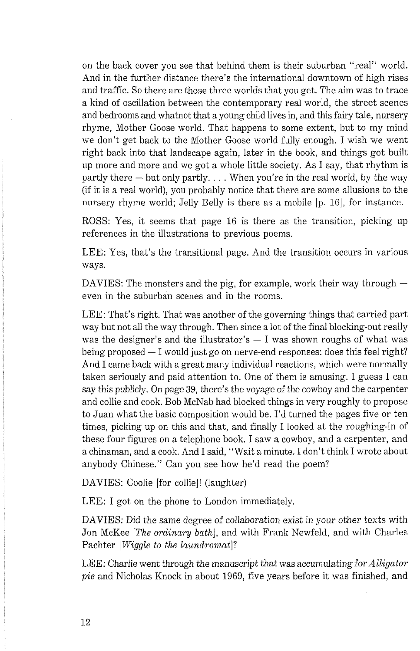on the back cover you see that behind them is their suburban "real" world. And in the further distance there's the international downtown of high rises and traffic. So there are those three worlds that you get. The aim was to trace a kind of oscillation between the contemporary real world, the street scenes and bedrooms and whatnot that a young child lives in, and this fairy tale, nursery rhyme, Mother Goose world. That happens to some extent, but to my mind we don't get back to the Mother Goose world fully enough. I wish we went right back into that landscape again, later in the book, and things got built up more and more and we got a whole little society. As I say, that rhythm is partly there — but only partly. . . . When you're in the real world, by the way (if it is a real world), you probably notice that there are some allusions to the nursery rhyme world; Jelly Belly is there as a mobile [p. 16], for instance.

ROSS: Yes, it seems that page 16 is there as the transition, picking up references in the illustrations to previous poems.

LEE: Yes, that's the transitional page. And the transition occurs in various ways.

DAVIES: The monsters and the pig, for example, work their way through  $$ even in the suburban scenes and in the rooms.

LEE: That's right. That was another of the governing things that carried part way but not all the way through. Then since a lot of the final blocking-out really was the designer's and the illustrator's  $-$  I was shown roughs of what was was the designer's and the illustrator's  $-$  I was shown roughs of what was being proposed  $-$  I would just go on nerve-end responses: does this feel right? And I came back with a great many individual reactions, which were normally taken seriously and paid attention to. One of them is amusing. I guess I can say this publicly. On page 39, there's the voyage of the cowboy and the carpenter and collie and cook. Bob McNab had blocked things in very roughly to propose to Juan what the basic composition would be. I'd turned the pages five or ten times, picking up on this and that, and finally I looked at the roughing-in of these four figures on a telephone book. I saw a cowboy, and a carpenter, and a chinaman, and a cook. And I said, "Wait a minute. I don't think I wrote about anybody Chinese." Can you see how he'd read the poem?

DAVIES: Coolie [for collie]! (laughter)

LEE: I got on the phone to London immediately.

DAVIES: Did the same degree of collaboration exist in your other texts with Jon McKee [The ordinary bath], and with Frank Newfeld, and with Charles Pachter [*Wiggle to the laundromat*]?

LEE: Charlie went through the manuscript that was accumulating for  $Alligator$ pie and Nicholas Knock in about 1969, five years before it was finished, and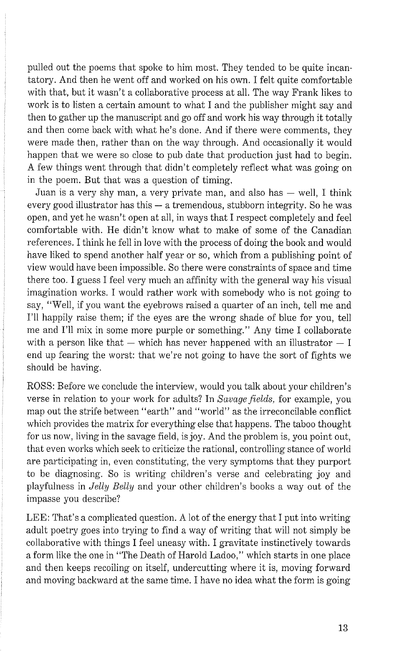pulled out the poems that spolce to him most. They tended to be quite incantatory. And then he went off and worked on his own. I felt quite comfortable with that, but it wasn't a collaborative process at all. The way Frank likes to work is to listen a certain amount to what I and the publisher might say and then to gather up the manuscript and go off and work his way through it totally and then come back with what he's done. And if there were comments, they were made then, rather than on the way through. And occasionally it would happen that we were so close to pub date that production just had to begin. A few things went through that didn't completely reflect what was going on in the poem. But that was a question of timing.

Juan is a very shy man, a very private man, and also has  $-$  well. I think every good illustrator has this  $-$  a tremendous, stubborn integrity. So he was open, and yet he wasn't open at all, in ways that I respect completely and feel comfortable with. He didn't know what to make of some of the Canadian references. I think he fell in love with the process of doing the book and would have liked to spend another half year or so, which from a publishing point of view would have been impossible. So there were constraints of space and time there too. I guess I feel very much an affinity with the general way his visual imagination works. I would rather work with somebody who is not going to say, "Well, if you want the eyebrows raised a quarter of an inch, tell me and I'll happily raise them; if the eyes are the wrong shade of blue for you, tell me and I'll mix in some more purple or something." Any time I collaborate with a person like that  $-$  which has never happened with an illustrator  $-$  I end up fearing the worst: that we're not going to have the sort of fights we should be having.

ROSS: Before we conclude the interview, would you talk about your children's verse in relation to your work for adults? In *Savage fields,* for example, you map out the strife between "earth" and "world" as the irreconcilable conflict which provides the matrix for everything else that happens. The taboo thought for us now, living in the savage field, is joy. And the problem is, you point out, that even works which seek to criticize the rational, controlling stance of world are participating in, even constituting, the very symptoms that they purport to be diagnosing. So is writing children's verse and celebrating joy and playfulness in *Jelly Belly* and your other children's books a way out of the impasse you describe?

LEE: That's a complicated question. A lot of the energy that I put into writing adult poetry goes into trying to find a way of writing that will not simply be collaborative with things I feel uneasy with. I gravitate instinctively towards a form like the one in "The Death of Harold Ladoo," which starts in one place and then keeps recoiling on itself, undercutting where it is, moving forward and moving backward at the same time. I have no idea what the form is going